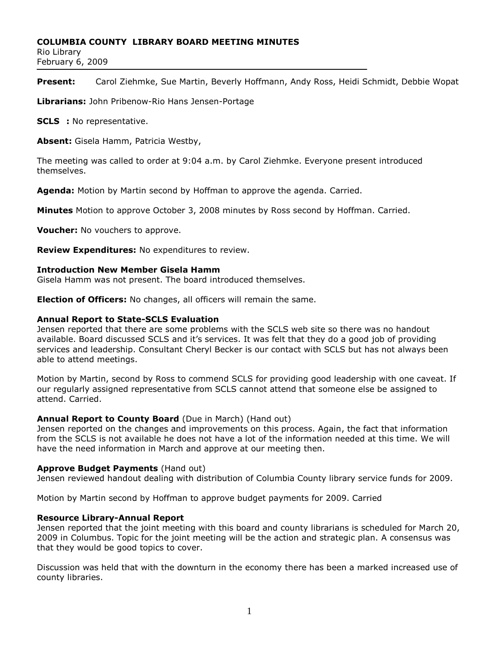#### **COLUMBIA COUNTY LIBRARY BOARD MEETING MINUTES**

Rio Library February 6, 2009

**Present:** Carol Ziehmke, Sue Martin, Beverly Hoffmann, Andy Ross, Heidi Schmidt, Debbie Wopat

**Librarians:** John Pribenow-Rio Hans Jensen-Portage

**SCLS :** No representative.

**Absent:** Gisela Hamm, Patricia Westby,

The meeting was called to order at 9:04 a.m. by Carol Ziehmke. Everyone present introduced themselves.

**Agenda:** Motion by Martin second by Hoffman to approve the agenda. Carried.

**Minutes** Motion to approve October 3, 2008 minutes by Ross second by Hoffman. Carried.

**Voucher:** No vouchers to approve.

**Review Expenditures:** No expenditures to review.

#### **Introduction New Member Gisela Hamm**

Gisela Hamm was not present. The board introduced themselves.

**Election of Officers:** No changes, all officers will remain the same.

### **Annual Report to State-SCLS Evaluation**

Jensen reported that there are some problems with the SCLS web site so there was no handout available. Board discussed SCLS and it's services. It was felt that they do a good job of providing services and leadership. Consultant Cheryl Becker is our contact with SCLS but has not always been able to attend meetings.

Motion by Martin, second by Ross to commend SCLS for providing good leadership with one caveat. If our regularly assigned representative from SCLS cannot attend that someone else be assigned to attend. Carried.

## **Annual Report to County Board** (Due in March) (Hand out)

Jensen reported on the changes and improvements on this process. Again, the fact that information from the SCLS is not available he does not have a lot of the information needed at this time. We will have the need information in March and approve at our meeting then.

## **Approve Budget Payments** (Hand out)

Jensen reviewed handout dealing with distribution of Columbia County library service funds for 2009.

Motion by Martin second by Hoffman to approve budget payments for 2009. Carried

#### **Resource Library-Annual Report**

Jensen reported that the joint meeting with this board and county librarians is scheduled for March 20, 2009 in Columbus. Topic for the joint meeting will be the action and strategic plan. A consensus was that they would be good topics to cover.

Discussion was held that with the downturn in the economy there has been a marked increased use of county libraries.